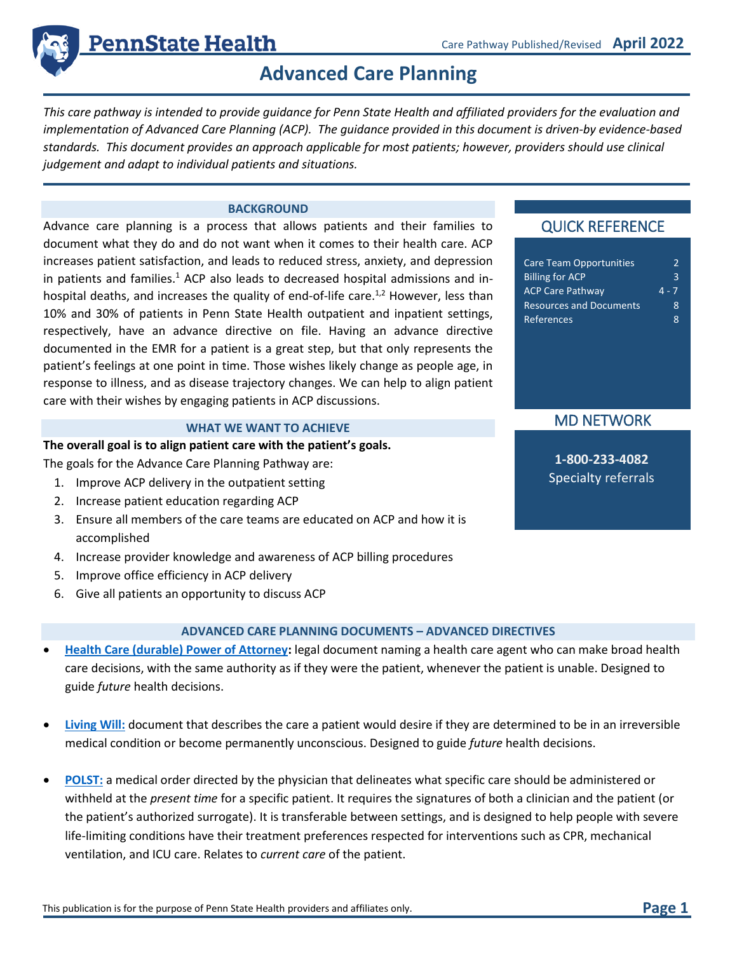

# **Advanced Care Planning**

*This care pathway is intended to provide guidance for Penn State Health and affiliated providers for the evaluation and implementation of Advanced Care Planning (ACP). The guidance provided in this document is driven-by evidence-based standards. This document provides an approach applicable for most patients; however, providers should use clinical judgement and adapt to individual patients and situations.*

#### **BACKGROUND**

Advance care planning is a process that allows patients and their families to document what they do and do not want when it comes to their health care. ACP increases patient satisfaction, and leads to reduced stress, anxiety, and depression in patients and families.<sup>1</sup> ACP also leads to decreased hospital admissions and inhospital deaths, and increases the quality of end-of-life care.<sup>1,2</sup> However, less than 10% and 30% of patients in Penn State Health outpatient and inpatient settings, respectively, have an advance directive on file. Having an advance directive documented in the EMR for a patient is a great step, but that only represents the patient's feelings at one point in time. Those wishes likely change as people age, in response to illness, and as disease trajectory changes. We can help to align patient care with their wishes by engaging patients in ACP discussions.

#### **WHAT WE WANT TO ACHIEVE**

#### **The overall goal is to align patient care with the patient's goals.**

The goals for the Advance Care Planning Pathway are:

- 1. Improve ACP delivery in the outpatient setting
- 2. Increase patient education regarding ACP
- 3. Ensure all members of the care teams are educated on ACP and how it is accomplished
- 4. Increase provider knowledge and awareness of ACP billing procedures
- 5. Improve office efficiency in ACP delivery
- 6. Give all patients an opportunity to discuss ACP

## **ADVANCED CARE PLANNING DOCUMENTS – ADVANCED DIRECTIVES**

- **[Health Care \(durable\) Power of Attorney:](https://psh.myprintdesk.net/DSF/~/PreviewPdf.ashx?5AD6Q6flLv3CXrAC1QssSWyEeSoz1VHLu5uaUWK2MS9h6u+jXAsju5MYlhoz4JsyAe2O8zFew/NDnR4KZIaX1d3cCNh9yiUJRaD9k9dFcl4or5qdbtCMu81rYmesTwkRUiXGMXBhpn+BVLQaZ/mr336xh9cdhCYXlHUjOgeMIWFSJ0tbEFlQhg==)** legal document naming a health care agent who can make broad health care decisions, with the same authority as if they were the patient, whenever the patient is unable. Designed to guide *future* health decisions.
- **[Living Will:](https://livingwillforms.org/wp-content/uploads/pennsylvania-living-will-medical-power-of-attorney-form.pdf)** document that describes the care a patient would desire if they are determined to be in an irreversible medical condition or become permanently unconscious. Designed to guide *future* health decisions.
- **[POLST:](https://www.papolst.org/pa-polst-forms/the-pennsylvania-orders-for-life-sustaining-treatment-polst-form/6-polst-form-english-version/file)** a medical order directed by the physician that delineates what specific care should be administered or withheld at the *present time* for a specific patient. It requires the signatures of both a clinician and the patient (or the patient's authorized surrogate). It is transferable between settings, and is designed to help people with severe life-limiting conditions have their treatment preferences respected for interventions such as CPR, mechanical ventilation, and ICU care. Relates to *current care* of the patient.

# QUICK REFERENCE

| <b>Care Team Opportunities</b> |         |
|--------------------------------|---------|
| <b>Billing for ACP</b>         | 3       |
| <b>ACP Care Pathway</b>        | $4 - 7$ |
| <b>Resources and Documents</b> | 8       |
| References                     | Ջ       |

# MD NETWORK

**1-800-233-4082** Specialty referrals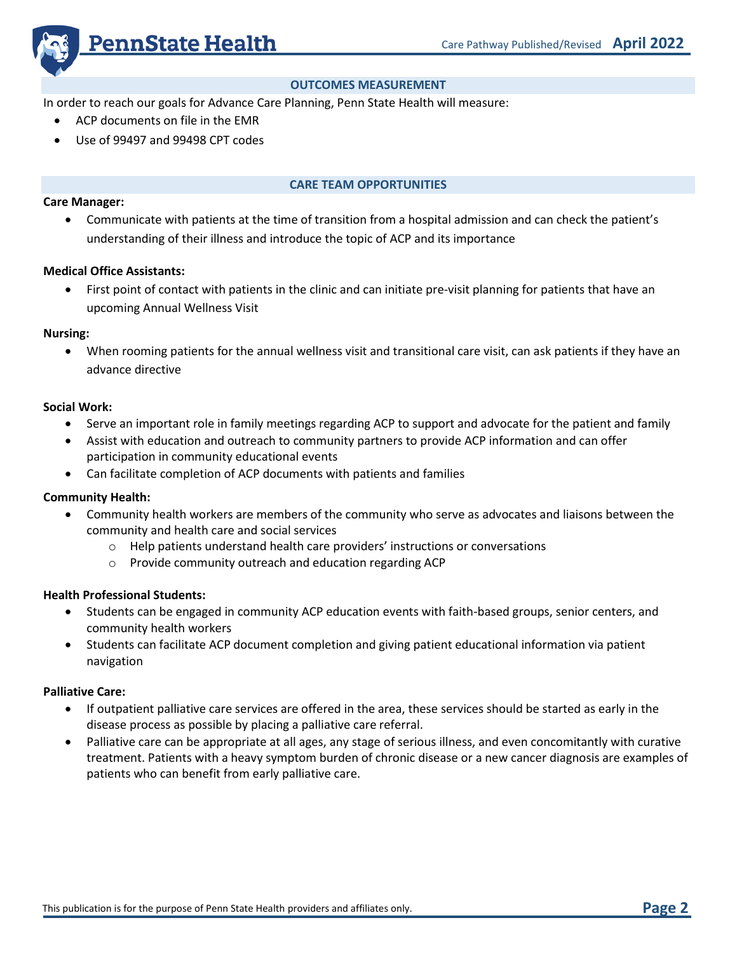

## **OUTCOMES MEASUREMENT**

In order to reach our goals for Advance Care Planning, Penn State Health will measure:

- ACP documents on file in the EMR
- Use of 99497 and 99498 CPT codes

#### **CARE TEAM OPPORTUNITIES**

#### **Care Manager:**

• Communicate with patients at the time of transition from a hospital admission and can check the patient's understanding of their illness and introduce the topic of ACP and its importance

### **Medical Office Assistants:**

• First point of contact with patients in the clinic and can initiate pre-visit planning for patients that have an upcoming Annual Wellness Visit

#### **Nursing:**

• When rooming patients for the annual wellness visit and transitional care visit, can ask patients if they have an advance directive

## **Social Work:**

- Serve an important role in family meetings regarding ACP to support and advocate for the patient and family
- Assist with education and outreach to community partners to provide ACP information and can offer participation in community educational events
- Can facilitate completion of ACP documents with patients and families

## **Community Health:**

- Community health workers are members of the community who serve as advocates and liaisons between the community and health care and social services
	- o Help patients understand health care providers' instructions or conversations
	- o Provide community outreach and education regarding ACP

## **Health Professional Students:**

- Students can be engaged in community ACP education events with faith-based groups, senior centers, and community health workers
- Students can facilitate ACP document completion and giving patient educational information via patient navigation

## **Palliative Care:**

- If outpatient palliative care services are offered in the area, these services should be started as early in the disease process as possible by placing a palliative care referral.
- Palliative care can be appropriate at all ages, any stage of serious illness, and even concomitantly with curative treatment. Patients with a heavy symptom burden of chronic disease or a new cancer diagnosis are examples of patients who can benefit from early palliative care.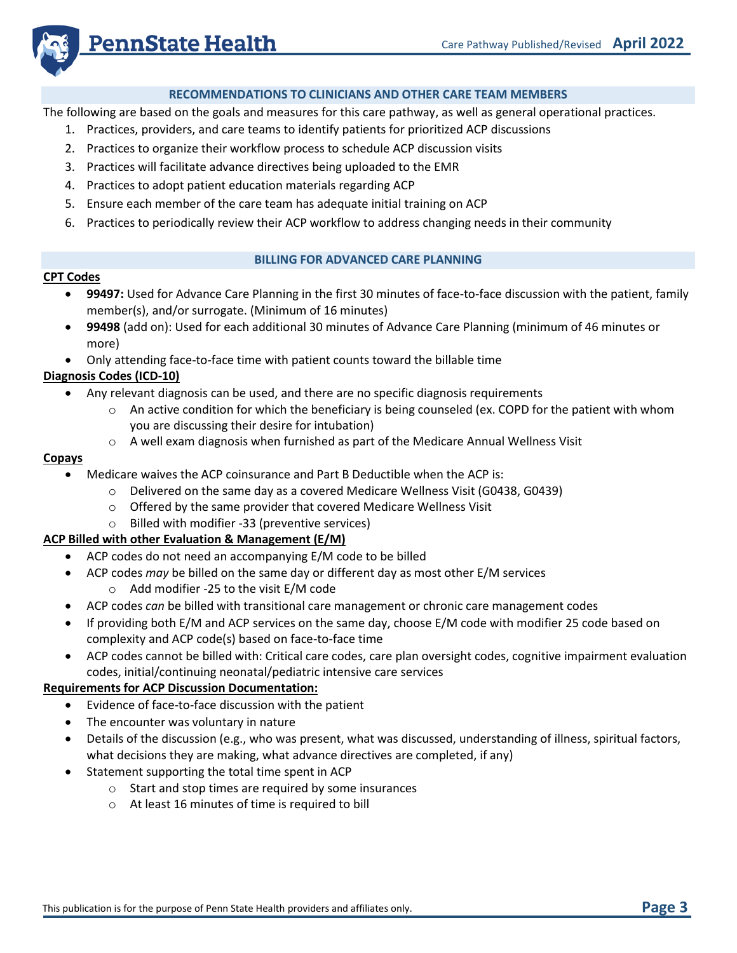

## **RECOMMENDATIONS TO CLINICIANS AND OTHER CARE TEAM MEMBERS**

The following are based on the goals and measures for this care pathway, as well as general operational practices.

- 1. Practices, providers, and care teams to identify patients for prioritized ACP discussions
- 2. Practices to organize their workflow process to schedule ACP discussion visits
- 3. Practices will facilitate advance directives being uploaded to the EMR
- 4. Practices to adopt patient education materials regarding ACP
- 5. Ensure each member of the care team has adequate initial training on ACP
- 6. Practices to periodically review their ACP workflow to address changing needs in their community

## **BILLING FOR ADVANCED CARE PLANNING**

#### **CPT Codes**

- **99497:** Used for Advance Care Planning in the first 30 minutes of face-to-face discussion with the patient, family member(s), and/or surrogate. (Minimum of 16 minutes)
- **99498** (add on): Used for each additional 30 minutes of Advance Care Planning (minimum of 46 minutes or more)
- Only attending face-to-face time with patient counts toward the billable time

## **Diagnosis Codes (ICD-10)**

- Any relevant diagnosis can be used, and there are no specific diagnosis requirements
	- $\circ$  An active condition for which the beneficiary is being counseled (ex. COPD for the patient with whom you are discussing their desire for intubation)
	- $\circ$  A well exam diagnosis when furnished as part of the Medicare Annual Wellness Visit

#### **Copays**

- Medicare waives the ACP coinsurance and Part B Deductible when the ACP is:
	- $\circ$  Delivered on the same day as a covered Medicare Wellness Visit (G0438, G0439)
	- o Offered by the same provider that covered Medicare Wellness Visit
	- o Billed with modifier -33 (preventive services)

## **ACP Billed with other Evaluation & Management (E/M)**

- ACP codes do not need an accompanying E/M code to be billed
- ACP codes *may* be billed on the same day or different day as most other E/M services
	- o Add modifier -25 to the visit E/M code
- ACP codes *can* be billed with transitional care management or chronic care management codes
- If providing both E/M and ACP services on the same day, choose E/M code with modifier 25 code based on complexity and ACP code(s) based on face-to-face time
- ACP codes cannot be billed with: Critical care codes, care plan oversight codes, cognitive impairment evaluation codes, initial/continuing neonatal/pediatric intensive care services

## **Requirements for ACP Discussion Documentation:**

- Evidence of face-to-face discussion with the patient
- The encounter was voluntary in nature
- Details of the discussion (e.g., who was present, what was discussed, understanding of illness, spiritual factors, what decisions they are making, what advance directives are completed, if any)
- Statement supporting the total time spent in ACP
	- o Start and stop times are required by some insurances
	- o At least 16 minutes of time is required to bill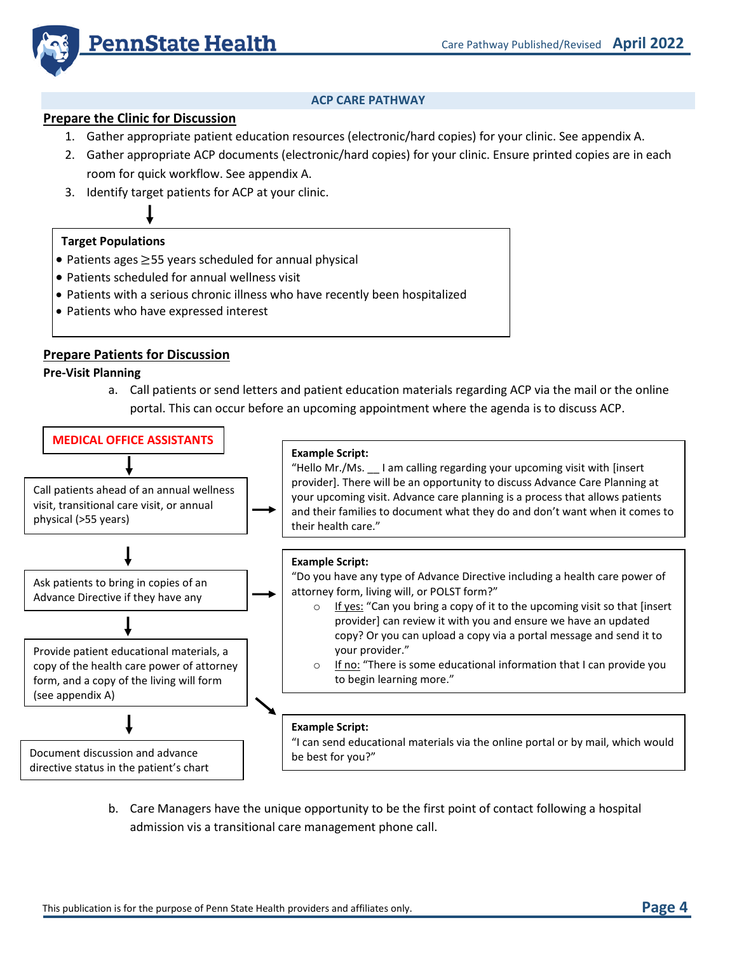

## **ACP CARE PATHWAY**

## **Prepare the Clinic for Discussion**

- 1. Gather appropriate patient education resources (electronic/hard copies) for your clinic. See appendix A.
- 2. Gather appropriate ACP documents (electronic/hard copies) for your clinic. Ensure printed copies are in each room for quick workflow. See appendix A.
- 3. Identify target patients for ACP at your clinic.

#### **Target Populations**

- Patients ages ≥55 years scheduled for annual physical
- Patients scheduled for annual wellness visit
- Patients with a serious chronic illness who have recently been hospitalized
- Patients who have expressed interest

## **Prepare Patients for Discussion**

**Pre-Visit Planning**

a. Call patients or send letters and patient education materials regarding ACP via the mail or the online portal. This can occur before an upcoming appointment where the agenda is to discuss ACP.



b. Care Managers have the unique opportunity to be the first point of contact following a hospital admission vis a transitional care management phone call.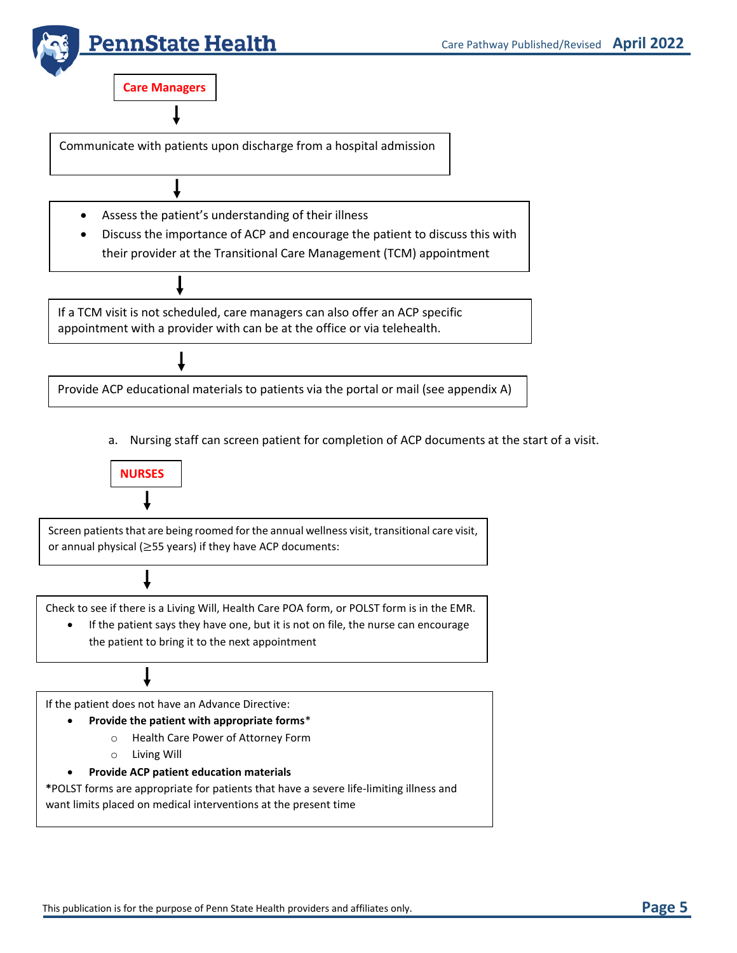

Assess the patient's understanding of their illness

• Discuss the importance of ACP and encourage the patient to discuss this with their provider at the Transitional Care Management (TCM) appointment

If a TCM visit is not scheduled, care managers can also offer an ACP specific appointment with a provider with can be at the office or via telehealth.

Provide ACP educational materials to patients via the portal or mail (see appendix A)

a. Nursing staff can screen patient for completion of ACP documents at the start of a visit.



Screen patients that are being roomed for the annual wellness visit, transitional care visit, or annual physical (≥55 years) if they have ACP documents:

Check to see if there is a Living Will, Health Care POA form, or POLST form is in the EMR.

• If the patient says they have one, but it is not on file, the nurse can encourage the patient to bring it to the next appointment

If the patient does not have an Advance Directive:

- **Provide the patient with appropriate forms**\*
	- o Health Care Power of Attorney Form
	- o Living Will
- **Provide ACP patient education materials**

**\***POLST forms are appropriate for patients that have a severe life-limiting illness and want limits placed on medical interventions at the present time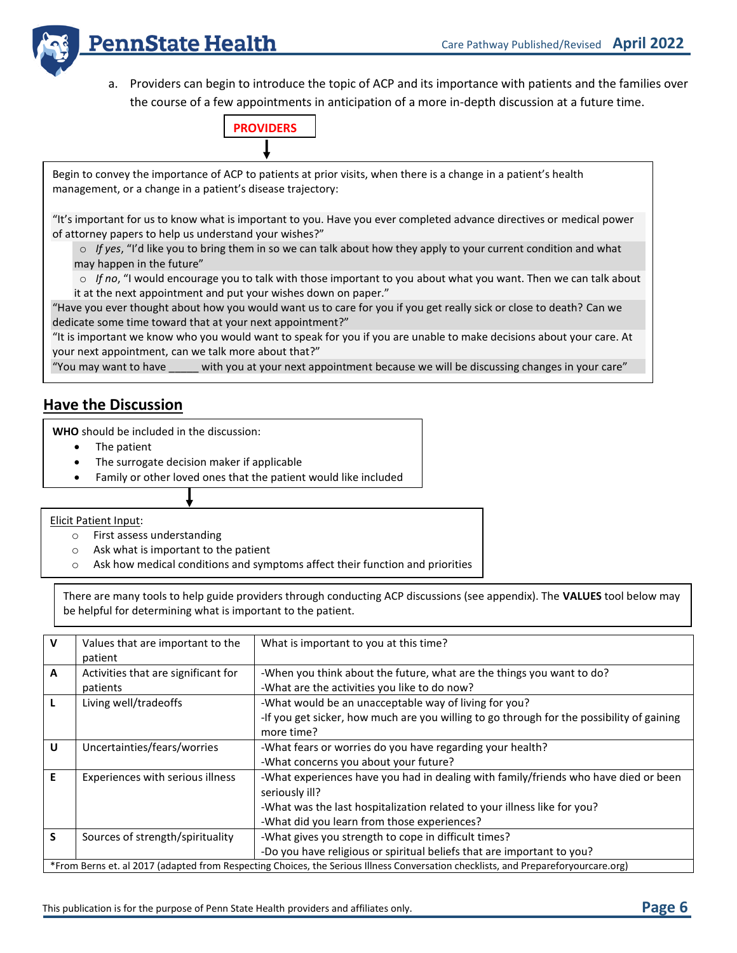

a. Providers can begin to introduce the topic of ACP and its importance with patients and the families over the course of a few appointments in anticipation of a more in-depth discussion at a future time.



Begin to convey the importance of ACP to patients at prior visits, when there is a change in a patient's health management, or a change in a patient's disease trajectory:

"It's important for us to know what is important to you. Have you ever completed advance directives or medical power of attorney papers to help us understand your wishes?"

o *If yes*, "I'd like you to bring them in so we can talk about how they apply to your current condition and what may happen in the future"

o *If no*, "I would encourage you to talk with those important to you about what you want. Then we can talk about it at the next appointment and put your wishes down on paper."

"Have you ever thought about how you would want us to care for you if you get really sick or close to death? Can we dedicate some time toward that at your next appointment?"

"It is important we know who you would want to speak for you if you are unable to make decisions about your care. At your next appointment, can we talk more about that?"

"You may want to have \_\_\_\_\_ with you at your next appointment because we will be discussing changes in your care"

# **Have the Discussion**

**WHO** should be included in the discussion:

- The patient
- The surrogate decision maker if applicable
- Family or other loved ones that the patient would like included

Elicit Patient Input:

- o First assess understanding
- o Ask what is important to the patient
- o Ask how medical conditions and symptoms affect their function and priorities

There are many tools to help guide providers through conducting ACP discussions (see appendix). The **VALUES** tool below may be helpful for determining what is important to the patient.

| $\mathbf{v}$ | Values that are important to the<br>patient                                                                                        | What is important to you at this time?                                                                  |  |
|--------------|------------------------------------------------------------------------------------------------------------------------------------|---------------------------------------------------------------------------------------------------------|--|
| $\mathbf{A}$ | Activities that are significant for                                                                                                | -When you think about the future, what are the things you want to do?                                   |  |
|              | patients                                                                                                                           | -What are the activities you like to do now?                                                            |  |
| L            | Living well/tradeoffs                                                                                                              | -What would be an unacceptable way of living for you?                                                   |  |
|              |                                                                                                                                    | -If you get sicker, how much are you willing to go through for the possibility of gaining<br>more time? |  |
| U            | Uncertainties/fears/worries                                                                                                        | -What fears or worries do you have regarding your health?                                               |  |
|              |                                                                                                                                    | -What concerns you about your future?                                                                   |  |
| E            | Experiences with serious illness                                                                                                   | -What experiences have you had in dealing with family/friends who have died or been<br>seriously ill?   |  |
|              |                                                                                                                                    | -What was the last hospitalization related to your illness like for you?                                |  |
|              |                                                                                                                                    | -What did you learn from those experiences?                                                             |  |
| S.           | Sources of strength/spirituality                                                                                                   | -What gives you strength to cope in difficult times?                                                    |  |
|              |                                                                                                                                    | -Do you have religious or spiritual beliefs that are important to you?                                  |  |
|              | *From Berns et. al 2017 (adapted from Respecting Choices, the Serious Illness Conversation checklists, and Prepareforyourcare.org) |                                                                                                         |  |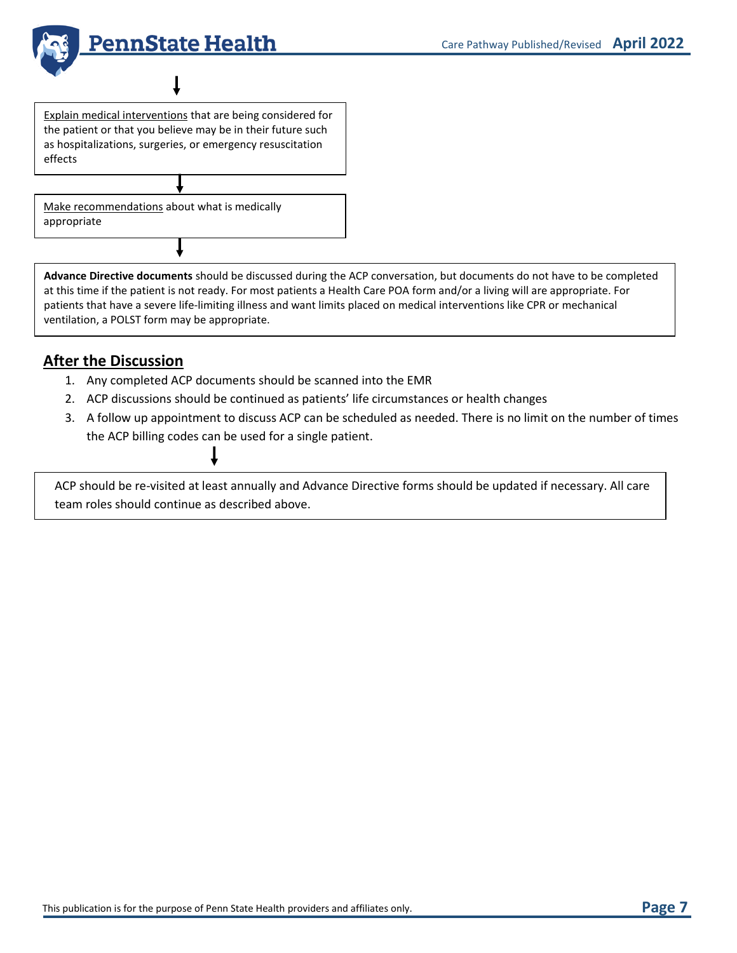

Explain medical interventions that are being considered for the patient or that you believe may be in their future such as hospitalizations, surgeries, or emergency resuscitation effects

Make recommendations about what is medically appropriate

**Advance Directive documents** should be discussed during the ACP conversation, but documents do not have to be completed at this time if the patient is not ready. For most patients a Health Care POA form and/or a living will are appropriate. For patients that have a severe life-limiting illness and want limits placed on medical interventions like CPR or mechanical ventilation, a POLST form may be appropriate.

# **After the Discussion**

- 1. Any completed ACP documents should be scanned into the EMR
- 2. ACP discussions should be continued as patients' life circumstances or health changes
- 3. A follow up appointment to discuss ACP can be scheduled as needed. There is no limit on the number of times the ACP billing codes can be used for a single patient.

ACP should be re-visited at least annually and Advance Directive forms should be updated if necessary. All care team roles should continue as described above.